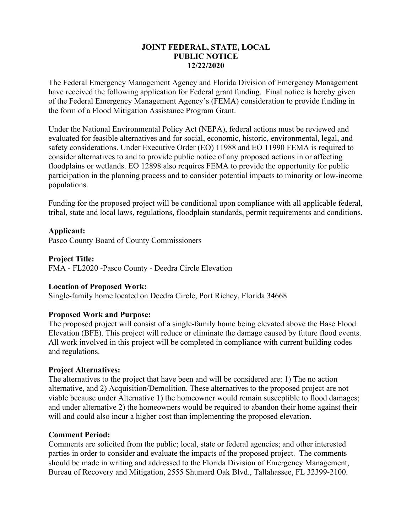## **JOINT FEDERAL, STATE, LOCAL PUBLIC NOTICE 12/22/2020**

The Federal Emergency Management Agency and Florida Division of Emergency Management have received the following application for Federal grant funding. Final notice is hereby given of the Federal Emergency Management Agency's (FEMA) consideration to provide funding in the form of a Flood Mitigation Assistance Program Grant.

Under the National Environmental Policy Act (NEPA), federal actions must be reviewed and evaluated for feasible alternatives and for social, economic, historic, environmental, legal, and safety considerations. Under Executive Order (EO) 11988 and EO 11990 FEMA is required to consider alternatives to and to provide public notice of any proposed actions in or affecting floodplains or wetlands. EO 12898 also requires FEMA to provide the opportunity for public participation in the planning process and to consider potential impacts to minority or low-income populations.

Funding for the proposed project will be conditional upon compliance with all applicable federal, tribal, state and local laws, regulations, floodplain standards, permit requirements and conditions.

# **Applicant:**

Pasco County Board of County Commissioners

### **Project Title:**

FMA - FL2020 -Pasco County - Deedra Circle Elevation

### **Location of Proposed Work:**

Single-family home located on Deedra Circle, Port Richey, Florida 34668

### **Proposed Work and Purpose:**

The proposed project will consist of a single-family home being elevated above the Base Flood Elevation (BFE). This project will reduce or eliminate the damage caused by future flood events. All work involved in this project will be completed in compliance with current building codes and regulations.

### **Project Alternatives:**

The alternatives to the project that have been and will be considered are: 1) The no action alternative, and 2) Acquisition/Demolition. These alternatives to the proposed project are not viable because under Alternative 1) the homeowner would remain susceptible to flood damages; and under alternative 2) the homeowners would be required to abandon their home against their will and could also incur a higher cost than implementing the proposed elevation.

### **Comment Period:**

Comments are solicited from the public; local, state or federal agencies; and other interested parties in order to consider and evaluate the impacts of the proposed project. The comments should be made in writing and addressed to the Florida Division of Emergency Management, Bureau of Recovery and Mitigation, 2555 Shumard Oak Blvd., Tallahassee, FL 32399-2100.